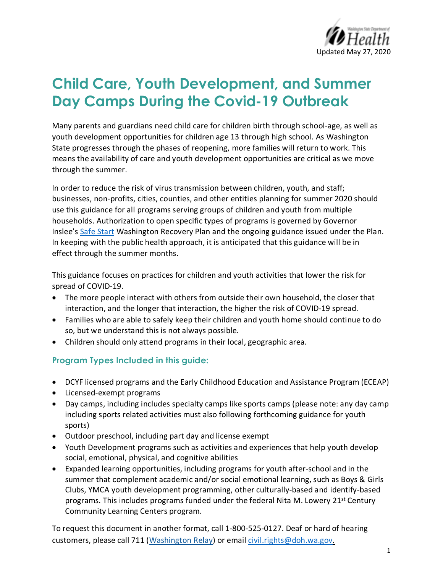

# **Child Care, Youth Development, and Summer Day Camps During the Covid-19 Outbreak**

Many parents and guardians need child care for children birth through school-age, as well as youth development opportunities for children age 13 through high school. As Washington State progresses through the phases of reopening, more families will return to work. This means the availability of care and youth development opportunities are critical as we move through the summer.

In order to reduce the risk of virus transmission between children, youth, and staff; businesses, non-profits, cities, counties, and other entities planning for summer 2020 should use this guidance for all programs serving groups of children and youth from multiple households. Authorization to open specific types of programs is governed by Governor Inslee's Safe Start Washington Recovery Plan and the ongoing guidance issued under the Plan. In keeping with the public health approach, it is anticipated that this guidance will be in effect through the summer months.

This guidance focuses on practices for children and youth activities that lower the risk for spread of COVID-19.

- The more people interact with others from outside their own household, the closer that interaction, and the longer that interaction, the higher the risk of COVID-19 spread.
- Families who are able to safely keep their children and youth home should continue to do so, but we understand this is not always possible.
- Children should only attend programs in their local, geographic area.

#### **Program Types Included in this guide:**

- DCYF licensed programs and the Early Childhood Education and Assistance Program (ECEAP)
- Licensed-exempt programs
- Day camps, including includes specialty camps like sports camps (please note: any day camp including sports related activities must also following forthcoming guidance for youth sports)
- Outdoor preschool, including part day and license exempt
- Youth Development programs such as activities and experiences that help youth develop social, emotional, physical, and cognitive abilities
- Expanded learning opportunities, including programs for youth after-school and in the summer that complement academic and/or social emotional learning, such as Boys & Girls Clubs, YMCA youth development programming, other culturally-based and identify-based programs. This includes programs funded under the federal Nita M. Lowery 21<sup>st</sup> Century Community Learning Centers program.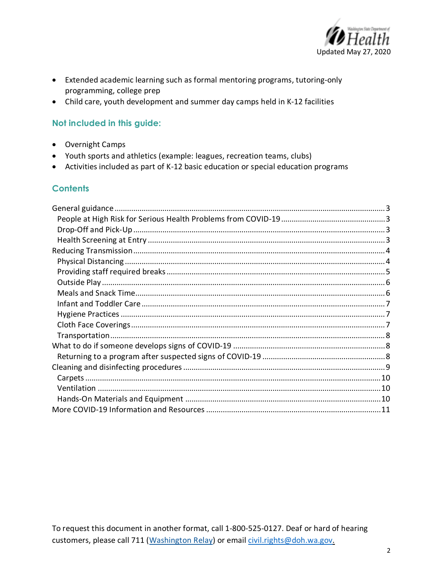

- Extended academic learning such as formal mentoring programs, tutoring-only programming, college prep
- Child care, youth development and summer day camps held in K-12 facilities

#### Not included in this guide:

- Overnight Camps
- Youth sports and athletics (example: leagues, recreation teams, clubs)
- Activities included as part of K-12 basic education or special education programs

#### **Contents**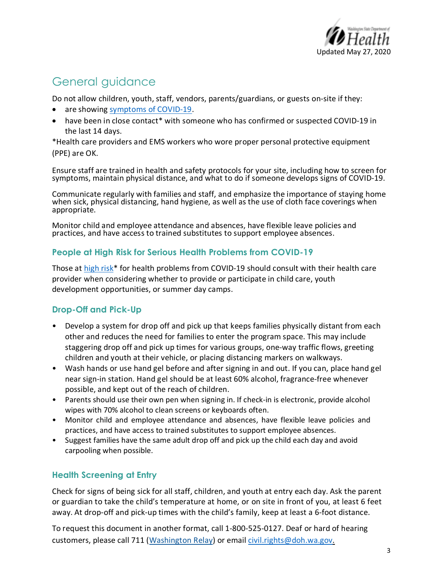

## General guidance

Do not allow children, youth, staff, vendors, parents/guardians, or guests on-site if they:

- are showing symptoms of COVID-19.
- have been in close contact\* with someone who has confirmed or suspected COVID-19 in the last 14 days.

\*Health care providers and EMS workers who wore proper personal protective equipment

(PPE) are OK.

Ensure staff are trained in health and safety protocols for your site, including how to screen for symptoms, maintain physical distance, and what to do if someone develops signs of COVID-19.

Communicate regularly with families and staff, and emphasize the importance of staying home when sick, physical distancing, hand hygiene, as well as the use of cloth face coverings when appropriate.

Monitor child and employee attendance and absences, have flexible leave policies and practices, and have access to trained substitutes to support employee absences.

#### **People at High Risk for Serious Health Problems from COVID-19**

Those at high risk\* for health problems from COVID-19 should consult with their health care provider when considering whether to provide or participate in child care, youth development opportunities, or summer day camps.

#### **Drop-Off and Pick-Up**

- Develop a system for drop off and pick up that keeps families physically distant from each other and reduces the need for families to enter the program space. This may include staggering drop off and pick up times for various groups, one-way traffic flows, greeting children and youth at their vehicle, or placing distancing markers on walkways.
- Wash hands or use hand gel before and after signing in and out. If you can, place hand gel near sign-in station. Hand gel should be at least 60% alcohol, fragrance-free whenever possible, and kept out of the reach of children.
- Parents should use their own pen when signing in. If check-in is electronic, provide alcohol wipes with 70% alcohol to clean screens or keyboards often.
- Monitor child and employee attendance and absences, have flexible leave policies and practices, and have access to trained substitutes to support employee absences.
- Suggest families have the same adult drop off and pick up the child each day and avoid carpooling when possible.

#### **Health Screening at Entry**

Check for signs of being sick for all staff, children, and youth at entry each day. Ask the parent or guardian to take the child's temperature at home, or on site in front of you, at least 6 feet away. At drop-off and pick-up times with the child's family, keep at least a 6-foot distance.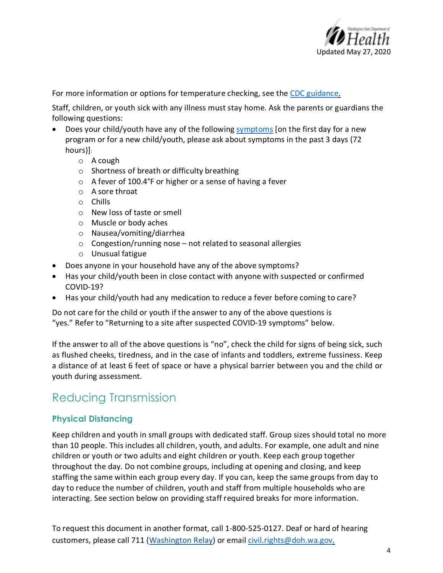

For more information or options for temperature checking, see the CDC guidance.

Staff, children, or youth sick with any illness must stay home. Ask the parents or guardians the following questions:

- Does your child/youth have any of the following symptoms [on the first day for a new program or for a new child/youth, please ask about symptoms in the past 3 days (72 hours)]:
	- o A cough
	- o Shortness of breath or difficulty breathing
	- o A fever of 100.4°F or higher or a sense of having a fever
	- o A sore throat
	- o Chills
	- o New loss of taste or smell
	- o Muscle or body aches
	- o Nausea/vomiting/diarrhea
	- o Congestion/running nose not related to seasonal allergies
	- <sup>o</sup> Unusual fatigue
- Does anyone in your household have any of the above symptoms?
- Has your child/youth been in close contact with anyone with suspected or confirmed COVID-19?
- Has your child/youth had any medication to reduce a fever before coming to care?

Do not care for the child or youth if the answer to any of the above questions is "yes." Refer to "Returning to a site after suspected COVID-19 symptoms" below.

If the answer to all of the above questions is "no", check the child for signs of being sick, such as flushed cheeks, tiredness, and in the case of infants and toddlers, extreme fussiness. Keep a distance of at least 6 feet of space or have a physical barrier between you and the child or youth during assessment.

### Reducing Transmission

#### **Physical Distancing**

Keep children and youth in small groups with dedicated staff. Group sizes should total no more than 10 people. This includes all children, youth, and adults. For example, one adult and nine children or youth or two adults and eight children or youth. Keep each group together throughout the day. Do not combine groups, including at opening and closing, and keep staffing the same within each group every day. If you can, keep the same groups from day to day to reduce the number of children, youth and staff from multiple households who are interacting. See section below on providing staff required breaks for more information.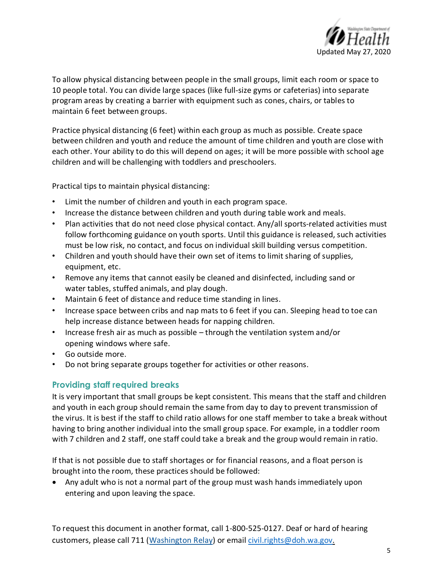

To allow physical distancing between people in the small groups, limit each room or space to 10 people total. You can divide large spaces (like full-size gyms or cafeterias) into separate program areas by creating a barrier with equipment such as cones, chairs, or tables to maintain 6 feet between groups.

Practice physical distancing (6 feet) within each group as much as possible. Create space between children and youth and reduce the amount of time children and youth are close with each other. Your ability to do this will depend on ages; it will be more possible with school age children and will be challenging with toddlers and preschoolers.

Practical tips to maintain physical distancing:

- Limit the number of children and youth in each program space.
- Increase the distance between children and youth during table work and meals.
- Plan activities that do not need close physical contact. Any/all sports-related activities must follow forthcoming guidance on youth sports. Until this guidance is released, such activities must be low risk, no contact, and focus on individual skill building versus competition.
- Children and youth should have their own set of items to limit sharing of supplies, equipment, etc.
- Remove any items that cannot easily be cleaned and disinfected, including sand or water tables, stuffed animals, and play dough.
- Maintain 6 feet of distance and reduce time standing in lines.
- Increase space between cribs and nap mats to 6 feet if you can. Sleeping head to toe can help increase distance between heads for napping children.
- Increase fresh air as much as possible through the ventilation system and/or opening windows where safe.
- Go outside more.
- Do not bring separate groups together for activities or other reasons.

#### **Providing staff required breaks**

It is very important that small groups be kept consistent. This means that the staff and children and youth in each group should remain the same from day to day to prevent transmission of the virus. It is best if the staff to child ratio allows for one staff member to take a break without having to bring another individual into the small group space. For example, in a toddler room with 7 children and 2 staff, one staff could take a break and the group would remain in ratio.

If that is not possible due to staff shortages or for financial reasons, and a float person is brought into the room, these practices should be followed:

• Any adult who is not a normal part of the group must wash hands immediately upon entering and upon leaving the space.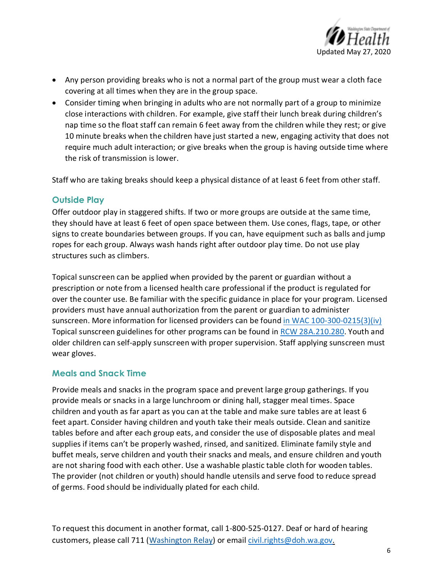

- Any person providing breaks who is not a normal part of the group must wear a cloth face covering at all times when they are in the group space.
- Consider timing when bringing in adults who are not normally part of a group to minimize close interactions with children. For example, give staff their lunch break during children's nap time so the float staff can remain 6 feet away from the children while they rest; or give 10 minute breaks when the children have just started a new, engaging activity that does not require much adult interaction; or give breaks when the group is having outside time where the risk of transmission is lower.

Staff who are taking breaks should keep a physical distance of at least 6 feet from other staff.

#### **Outside Play**

Offer outdoor play in staggered shifts. If two or more groups are outside at the same time, they should have at least 6 feet of open space between them. Use cones, flags, tape, or other signs to create boundaries between groups. If you can, have equipment such as balls and jump ropes for each group. Always wash hands right after outdoor play time. Do not use play structures such as climbers.

Topical sunscreen can be applied when provided by the parent or guardian without a prescription or note from a licensed health care professional if the product is regulated for over the counter use. Be familiar with the specific guidance in place for your program. Licensed providers must have annual authorization from the parent or guardian to administer sunscreen. More information for licensed providers can be found in WAC 100-300-0215(3)(iv) Topical sunscreen guidelines for other programs can be found in RCW 28A.210.280. Youth and older children can self-apply sunscreen with proper supervision. Staff applying sunscreen must wear gloves.

#### **Meals and Snack Time**

Provide meals and snacks in the program space and prevent large group gatherings. If you provide meals or snacks in a large lunchroom or dining hall, stagger meal times. Space children and youth as far apart as you can at the table and make sure tables are at least 6 feet apart. Consider having children and youth take their meals outside. Clean and sanitize tables before and after each group eats, and consider the use of disposable plates and meal supplies if items can't be properly washed, rinsed, and sanitized. Eliminate family style and buffet meals, serve children and youth their snacks and meals, and ensure children and youth are not sharing food with each other. Use a washable plastic table cloth for wooden tables. The provider (not children or youth) should handle utensils and serve food to reduce spread of germs. Food should be individually plated for each child.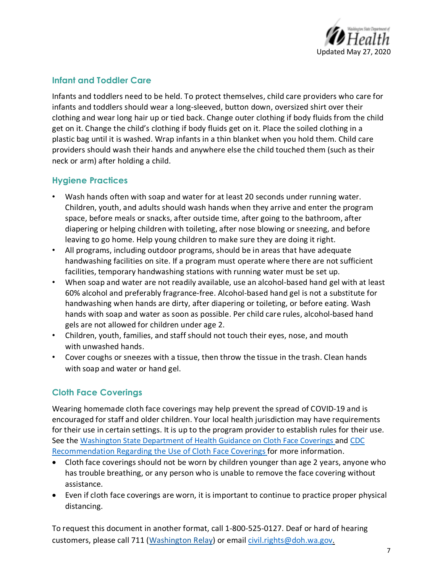

#### **Infant and Toddler Care**

Infants and toddlers need to be held. To protect themselves, child care providers who care for infants and toddlers should wear a long-sleeved, button down, oversized shirt over their clothing and wear long hair up or tied back. Change outer clothing if body fluids from the child get on it. Change the child's clothing if body fluids get on it. Place the soiled clothing in a plastic bag until it is washed. Wrap infants in a thin blanket when you hold them. Child care providers should wash their hands and anywhere else the child touched them (such as their neck or arm) after holding a child.

#### **Hygiene Practices**

- Wash hands often with soap and water for at least 20 seconds under running water. Children, youth, and adults should wash hands when they arrive and enter the program space, before meals or snacks, after outside time, after going to the bathroom, after diapering or helping children with toileting, after nose blowing or sneezing, and before leaving to go home. Help young children to make sure they are doing it right.
- All programs, including outdoor programs, should be in areas that have adequate handwashing facilities on site. If a program must operate where there are not sufficient facilities, temporary handwashing stations with running water must be set up.
- When soap and water are not readily available, use an alcohol-based hand gel with at least 60% alcohol and preferably fragrance-free. Alcohol-based hand gel is not a substitute for handwashing when hands are dirty, after diapering or toileting, or before eating. Wash hands with soap and water as soon as possible. Per child care rules, alcohol-based hand gels are not allowed for children under age 2.
- Children, youth, families, and staff should not touch their eyes, nose, and mouth with unwashed hands.
- Cover coughs or sneezes with a tissue, then throw the tissue in the trash. Clean hands with soap and water or hand gel.

#### **Cloth Face Coverings**

Wearing homemade cloth face coverings may help prevent the spread of COVID-19 and is encouraged for staff and older children. Your local health jurisdiction may have requirements for their use in certain settings. It is up to the program provider to establish rules for their use. See the Washington State Department of Health Guidance on Cloth Face Coverings and CDC Recommendation Regarding the Use of Cloth Face Coverings for more information.

- Cloth face coverings should not be worn by children younger than age 2 years, anyone who has trouble breathing, or any person who is unable to remove the face covering without assistance.
- Even if cloth face coverings are worn, it is important to continue to practice proper physical distancing.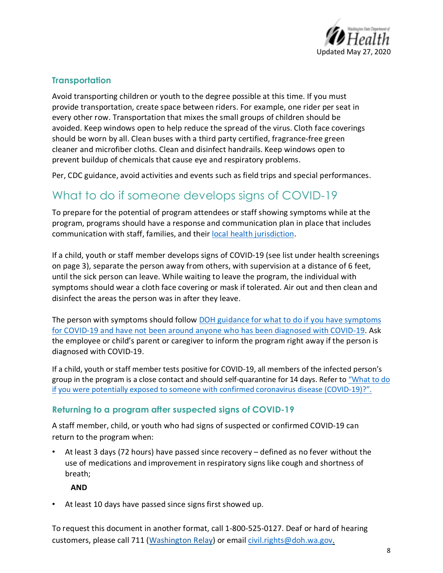

#### **Transportation**

Avoid transporting children or youth to the degree possible at this time. If you must provide transportation, create space between riders. For example, one rider per seat in every other row. Transportation that mixes the small groups of children should be avoided. Keep windows open to help reduce the spread of the virus. Cloth face coverings should be worn by all. Clean buses with a third party certified, fragrance-free green cleaner and microfiber cloths. Clean and disinfect handrails. Keep windows open to prevent buildup of chemicals that cause eye and respiratory problems.

Per, CDC guidance, avoid activities and events such as field trips and special performances.

### What to do if someone develops signs of COVID-19

To prepare for the potential of program attendees or staff showing symptoms while at the program, programs should have a response and communication plan in place that includes communication with staff, families, and their local health jurisdiction.

If a child, youth or staff member develops signs of COVID-19 (see list under health screenings on page 3), separate the person away from others, with supervision at a distance of 6 feet, until the sick person can leave. While waiting to leave the program, the individual with symptoms should wear a cloth face covering or mask if tolerated. Air out and then clean and disinfect the areas the person was in after they leave.

The person with symptoms should follow DOH guidance for what to do if you have symptoms for COVID-19 and have not been around anyone who has been diagnosed with COVID-19. Ask the employee or child's parent or caregiver to inform the program right away if the person is diagnosed with COVID-19.

If a child, youth or staff member tests positive for COVID-19, all members of the infected person's group in the program is a close contact and should self-quarantine for 14 days. Refer to "What to do if you were potentially exposed to someone with confirmed coronavirus disease (COVID-19)?".

#### **Returning to a program after suspected signs of COVID-19**

A staff member, child, or youth who had signs of suspected or confirmed COVID-19 can return to the program when:

• At least 3 days (72 hours) have passed since recovery – defined as no fever without the use of medications and improvement in respiratory signs like cough and shortness of breath;

**AND** 

At least 10 days have passed since signs first showed up.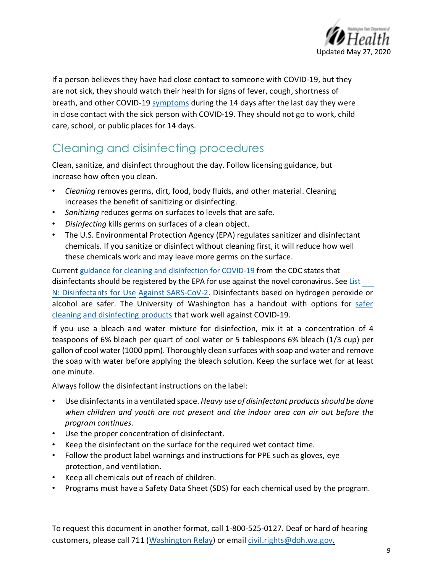

If a person believes they have had close contact to someone with COVID-19, but they are not sick, they should watch their health for signs of fever, cough, shortness of breath, and other COVID-19 symptoms during the 14 days after the last day they were in close contact with the sick person with COVID-19. They should not go to work, child care, school, or public places for 14 days.

# Cleaning and disinfecting procedures

Clean, sanitize, and disinfect throughout the day. Follow licensing guidance, but increase how often you clean.

- *Cleaning* removes germs, dirt, food, body fluids, and other material. Cleaning increases the benefit of sanitizing or disinfecting.
- *Sanitizing* reduces germs on surfaces to levels that are safe.
- *Disinfecting* kills germs on surfaces of a clean object.
- The U.S. Environmental Protection Agency (EPA) regulates sanitizer and disinfectant chemicals. If you sanitize or disinfect without cleaning first, it will reduce how well these chemicals work and may leave more germs on the surface.

Current guidance for cleaning and disinfection for COVID-19 from the CDC states that disinfectants should be registered by the EPA for use against the novel coronavirus. See List N: Disinfectants for Use Against SARS-CoV-2. Disinfectants based on hydrogen peroxide or alcohol are safer. The University of Washington has a handout with options for safer cleaning and disinfecting products that work well against COVID-19.

If you use a bleach and water mixture for disinfection, mix it at a concentration of 4 teaspoons of 6% bleach per quart of cool water or 5 tablespoons 6% bleach (1/3 cup) per gallon of cool water (1000 ppm). Thoroughly clean surfaces with soap and water and remove the soap with water before applying the bleach solution. Keep the surface wet for at least one minute.

Always follow the disinfectant instructions on the label:

- Use disinfectants in a ventilated space. *Heavy use of disinfectant products should be done when children and youth are not present and the indoor area can air out before the program continues.*
- Use the proper concentration of disinfectant.
- Keep the disinfectant on the surface for the required wet contact time.
- Follow the product label warnings and instructions for PPE such as gloves, eye protection, and ventilation.
- Keep all chemicals out of reach of children.
- Programs must have a Safety Data Sheet (SDS) for each chemical used by the program.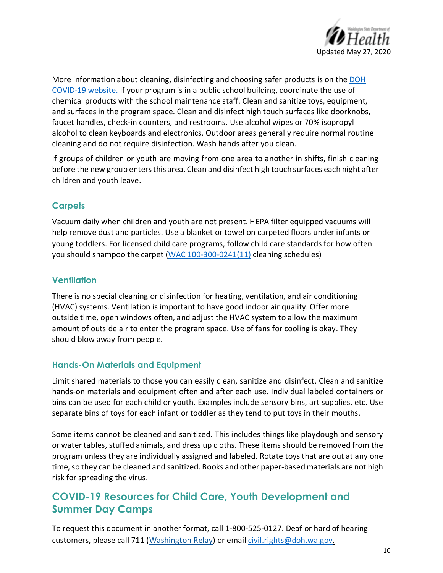

More information about cleaning, disinfecting and choosing safer products is on the DOH COVID-19 website. If your program is in a public school building, coordinate the use of chemical products with the school maintenance staff. Clean and sanitize toys, equipment, and surfaces in the program space. Clean and disinfect high touch surfaces like doorknobs, faucet handles, check-in counters, and restrooms. Use alcohol wipes or 70% isopropyl alcohol to clean keyboards and electronics. Outdoor areas generally require normal routine cleaning and do not require disinfection. Wash hands after you clean.

If groups of children or youth are moving from one area to another in shifts, finish cleaning before the new group enters this area. Clean and disinfect high touch surfaces each night after children and youth leave.

#### **Carpets**

Vacuum daily when children and youth are not present. HEPA filter equipped vacuums will help remove dust and particles. Use a blanket or towel on carpeted floors under infants or young toddlers. For licensed child care programs, follow child care standards for how often you should shampoo the carpet (WAC 100-300-0241(11) cleaning schedules)

#### **Ventilation**

There is no special cleaning or disinfection for heating, ventilation, and air conditioning (HVAC) systems. Ventilation is important to have good indoor air quality. Offer more outside time, open windows often, and adjust the HVAC system to allow the maximum amount of outside air to enter the program space. Use of fans for cooling is okay. They should blow away from people.

#### **Hands-On Materials and Equipment**

Limit shared materials to those you can easily clean, sanitize and disinfect. Clean and sanitize hands-on materials and equipment often and after each use. Individual labeled containers or bins can be used for each child or youth. Examples include sensory bins, art supplies, etc. Use separate bins of toys for each infant or toddler as they tend to put toys in their mouths.

Some items cannot be cleaned and sanitized. This includes things like playdough and sensory or water tables, stuffed animals, and dress up cloths. These items should be removed from the program unless they are individually assigned and labeled. Rotate toys that are out at any one time, so they can be cleaned and sanitized. Books and other paper-based materials are not high risk for spreading the virus.

### **COVID-19 Resources for Child Care, Youth Development and Summer Day Camps**